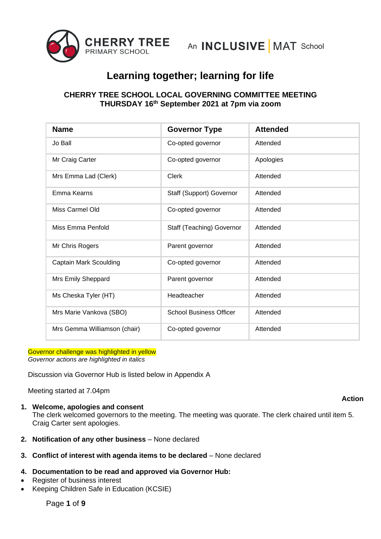

## **CHERRY TREE SCHOOL LOCAL GOVERNING COMMITTEE MEETING THURSDAY 16th September 2021 at 7pm via zoom**

| <b>Name</b>                   | <b>Governor Type</b>           | <b>Attended</b> |
|-------------------------------|--------------------------------|-----------------|
| Jo Ball                       | Co-opted governor              | Attended        |
| Mr Craig Carter               | Co-opted governor              | Apologies       |
| Mrs Emma Lad (Clerk)          | Clerk                          | Attended        |
| Emma Kearns                   | Staff (Support) Governor       | Attended        |
| Miss Carmel Old               | Co-opted governor              | Attended        |
| Miss Emma Penfold             | Staff (Teaching) Governor      | Attended        |
| Mr Chris Rogers               | Parent governor                | Attended        |
| <b>Captain Mark Scoulding</b> | Co-opted governor              | Attended        |
| Mrs Emily Sheppard            | Parent governor                | Attended        |
| Ms Cheska Tyler (HT)          | Headteacher                    | Attended        |
| Mrs Marie Vankova (SBO)       | <b>School Business Officer</b> | Attended        |
| Mrs Gemma Williamson (chair)  | Co-opted governor              | Attended        |

Governor challenge was highlighted in yellow *Governor actions are highlighted in italics*

Discussion via Governor Hub is listed below in Appendix A

Meeting started at 7.04pm

**1. Welcome, apologies and consent**

The clerk welcomed governors to the meeting. The meeting was quorate. The clerk chaired until item 5. Craig Carter sent apologies.

- **2. Notification of any other business**  None declared
- **3. Conflict of interest with agenda items to be declared** None declared

## **4. Documentation to be read and approved via Governor Hub:**

- Register of business interest
- Keeping Children Safe in Education (KCSIE)

### **Action**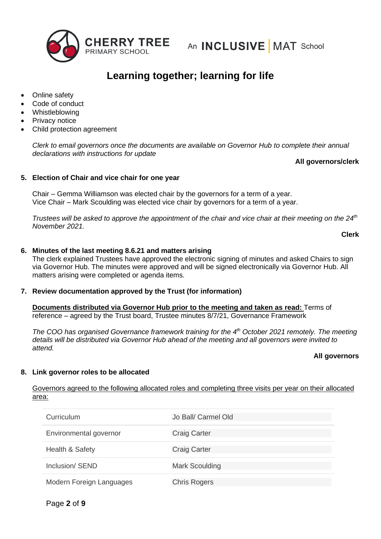

- Online safety
- Code of conduct
- **Whistleblowing**
- Privacy notice
- Child protection agreement

*Clerk to email governors once the documents are available on Governor Hub to complete their annual declarations with instructions for update*

## **All governors/clerk**

## **5. Election of Chair and vice chair for one year**

Chair – Gemma Williamson was elected chair by the governors for a term of a year. Vice Chair – Mark Scoulding was elected vice chair by governors for a term of a year.

*Trustees will be asked to approve the appointment of the chair and vice chair at their meeting on the 24<sup>th</sup> November 2021.* 

```
Clerk
```
### **6. Minutes of the last meeting 8.6.21 and matters arising**

The clerk explained Trustees have approved the electronic signing of minutes and asked Chairs to sign via Governor Hub. The minutes were approved and will be signed electronically via Governor Hub. All matters arising were completed or agenda items.

## **7. Review documentation approved by the Trust (for information)**

**Documents distributed via Governor Hub prior to the meeting and taken as read:** Terms of reference – agreed by the Trust board, Trustee minutes 8/7/21, Governance Framework

*The COO has organised Governance framework training for the 4th October 2021 remotely. The meeting details will be distributed via Governor Hub ahead of the meeting and all governors were invited to attend.*

### **All governors**

### **8. Link governor roles to be allocated**

Governors agreed to the following allocated roles and completing three visits per year on their allocated area:

| Curriculum                 | Jo Ball/ Carmel Old   |
|----------------------------|-----------------------|
| Environmental governor     | <b>Craig Carter</b>   |
| <b>Health &amp; Safety</b> | <b>Craig Carter</b>   |
| Inclusion/ SEND            | <b>Mark Scoulding</b> |
| Modern Foreign Languages   | <b>Chris Rogers</b>   |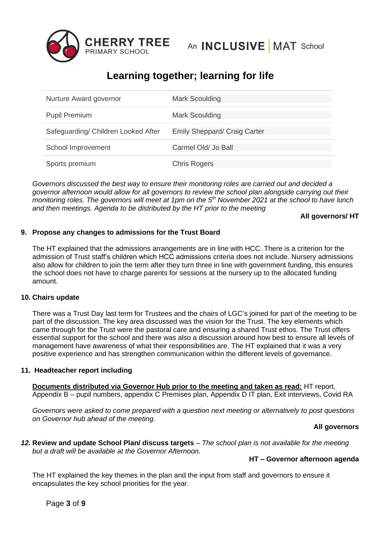

| Nurture Award governor              | <b>Mark Scoulding</b>               |
|-------------------------------------|-------------------------------------|
| <b>Pupil Premium</b>                | <b>Mark Scoulding</b>               |
| Safeguarding/ Children Looked After | <b>Emily Sheppard/ Craig Carter</b> |
| School Improvement                  | Carmel Old/ Jo Ball                 |
| Sports premium                      | <b>Chris Rogers</b>                 |

*Governors discussed the best way to ensure their monitoring roles are carried out and decided a governor afternoon would allow for all governors to review the school plan alongside carrying out their monitoring roles. The governors will meet at 1pm on the 5<sup>th</sup> November 2021 at the school to have lunch and then meetings. Agenda to be distributed by the HT prior to the meeting*

**All governors/ HT**

## **9. Propose any changes to admissions for the Trust Board**

The HT explained that the admissions arrangements are in line with HCC. There is a criterion for the admission of Trust staff's children which HCC admissions criteria does not include. Nursery admissions also allow for children to join the term after they turn three in line with government funding, this ensures the school does not have to charge parents for sessions at the nursery up to the allocated funding amount.

## **10. Chairs update**

There was a Trust Day last term for Trustees and the chairs of LGC's joined for part of the meeting to be part of the discussion. The key area discussed was the vision for the Trust. The key elements which came through for the Trust were the pastoral care and ensuring a shared Trust ethos. The Trust offers essential support for the school and there was also a discussion around how best to ensure all levels of management have awareness of what their responsibilities are. The HT explained that it was a very positive experience and has strengthen communication within the different levels of governance.

## **11. Headteacher report including**

**Documents distributed via Governor Hub prior to the meeting and taken as read:** HT report, Appendix B – pupil numbers, appendix C Premises plan, Appendix D IT plan, Exit interviews, Covid RA

*Governors were asked to come prepared with a question next meeting or alternatively to post questions on Governor hub ahead of the meeting.*

### **All governors**

*12.* **Review and update School Plan/ discuss targets** – *The school plan is not available for the meeting but a draft will be available at the Governor Afternoon.*

## **HT – Governor afternoon agenda**

The HT explained the key themes in the plan and the input from staff and governors to ensure it encapsulates the key school priorities for the year.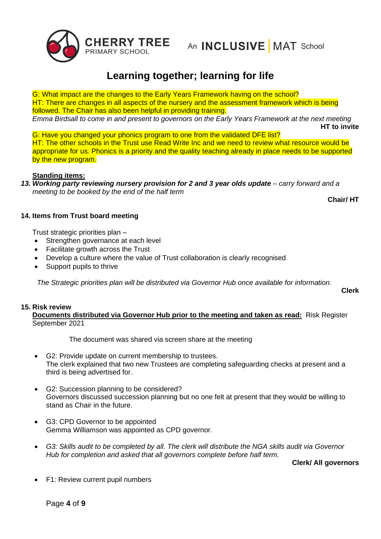

G: What impact are the changes to the Early Years Framework having on the school? HT: There are changes in all aspects of the nursery and the assessment framework which is being followed. The Chair has also been helpful in providing training. *Emma Birdsall to come in and present to governors on the Early Years Framework at the next meeting* **HT to invite**

G: Have you changed your phonics program to one from the validated DFE list? HT: The other schools in the Trust use Read Write Inc and we need to review what resource would be appropriate for us. Phonics is a priority and the quality teaching already in place needs to be supported by the new program.

## **Standing items:**

*13. Working party reviewing nursery provision for 2 and 3 year olds update – carry forward and a meeting to be booked by the end of the half term*

**Chair/ HT**

## **14. Items from Trust board meeting**

Trust strategic priorities plan –

- Strengthen governance at each level
- Facilitate growth across the Trust
- Develop a culture where the value of Trust collaboration is clearly recognised
- Support pupils to thrive

*The Strategic priorities plan will be distributed via Governor Hub once available for information.* 

**Clerk**

### **15. Risk review**

**Documents distributed via Governor Hub prior to the meeting and taken as read:** Risk Register September 2021

The document was shared via screen share at the meeting

- G2: Provide update on current membership to trustees. The clerk explained that two new Trustees are completing safeguarding checks at present and a third is being advertised for.
- G2: Succession planning to be considered? Governors discussed succession planning but no one felt at present that they would be willing to stand as Chair in the future.
- G3: CPD Governor to be appointed Gemma Williamson was appointed as CPD governor.
- *G3: Skills audit to be completed by all. The clerk will distribute the NGA skills audit via Governor Hub for completion and asked that all governors complete before half term.*

**Clerk/ All governors**

• F1: Review current pupil numbers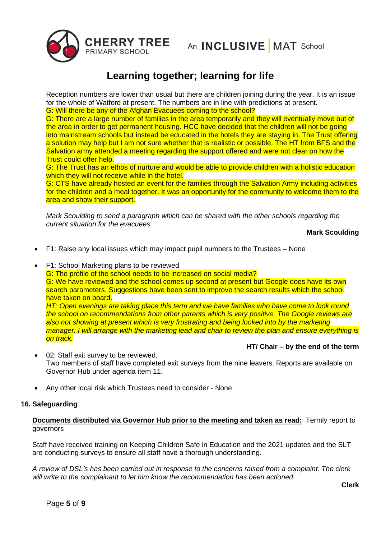

Reception numbers are lower than usual but there are children joining during the year. It is an issue for the whole of Watford at present. The numbers are in line with predictions at present. G: Will there be any of the Afghan Evacuees coming to the school?

G: There are a large number of families in the area temporarily and they will eventually move out of the area in order to get permanent housing. HCC have decided that the children will not be going into mainstream schools but instead be educated in the hotels they are staying in. The Trust offering a solution may help but I am not sure whether that is realistic or possible. The HT from BFS and the Salvation army attended a meeting regarding the support offered and were not clear on how the Trust could offer help.

G: The Trust has an ethos of nurture and would be able to provide children with a holistic education which they will not receive while in the hotel.

G: CTS have already hosted an event for the families through the Salvation Army including activities for the children and a meal together. It was an opportunity for the community to welcome them to the area and show their support.

*Mark Scoulding to send a paragraph which can be shared with the other schools regarding the current situation for the evacuees.* 

**Mark Scoulding**

- F1: Raise any local issues which may impact pupil numbers to the Trustees None
- F1: School Marketing plans to be reviewed

G: The profile of the school needs to be increased on social media? G: We have reviewed and the school comes up second at present but Google does have its own search parameters. Suggestions have been sent to improve the search results which the school have taken on board.

*HT: Open evenings are taking place this term and we have families who have come to look round the school on recommendations from other parents which is very positive. The Google reviews are also not showing at present which is very frustrating and being looked into by the marketing manager. I will arrange with the marketing lead and chair to review the plan and ensure everything is on track.*

## **HT/ Chair – by the end of the term**

- 02: Staff exit survey to be reviewed. Two members of staff have completed exit surveys from the nine leavers. Reports are available on Governor Hub under agenda item 11.
- Any other local risk which Trustees need to consider None

### **16. Safeguarding**

**Documents distributed via Governor Hub prior to the meeting and taken as read:** Termly report to governors

Staff have received training on Keeping Children Safe in Education and the 2021 updates and the SLT are conducting surveys to ensure all staff have a thorough understanding.

*A review of DSL's has been carried out in response to the concerns raised from a complaint. The clerk will write to the complainant to let him know the recommendation has been actioned.*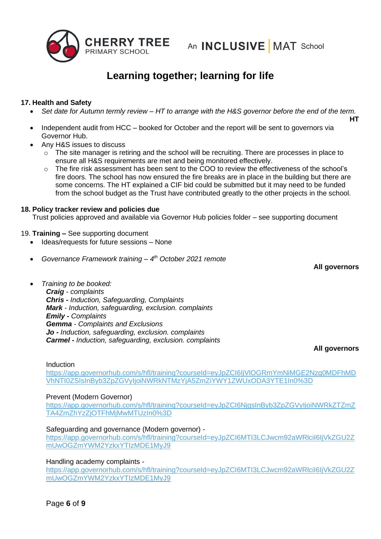

## **17. Health and Safety**

- *Set date for Autumn termly review – HT to arrange with the H&S governor before the end of the term.*
- Independent audit from HCC booked for October and the report will be sent to governors via Governor Hub.
- Any H&S issues to discuss
	- $\circ$  The site manager is retiring and the school will be recruiting. There are processes in place to ensure all H&S requirements are met and being monitored effectively.
	- $\circ$  The fire risk assessment has been sent to the COO to review the effectiveness of the school's fire doors. The school has now ensured the fire breaks are in place in the building but there are some concerns. The HT explained a CIF bid could be submitted but it may need to be funded from the school budget as the Trust have contributed greatly to the other projects in the school.

## **18. Policy tracker review and policies due**

Trust policies approved and available via Governor Hub policies folder – see supporting document

- 19. **Training –** See supporting document
	- Ideas/requests for future sessions None
	- *Governance Framework training – 4 th October 2021 remote*
	- *Training to be booked:*

*Craig - complaints Chris - Induction, Safeguarding, Complaints Mark - Induction, safeguarding, exclusion. complaints Emily - Complaints Gemma - Complaints and Exclusions Jo - Induction, safeguarding, exclusion. complaints Carmel - Induction, safeguarding, exclusion. complaints*

**All governors**

**All governors**

**HT**

### Induction

[https://app.governorhub.com/s/hfl/training?courseId=eyJpZCI6IjVlOGRmYmNiMGE2Nzg0MDFhMD](https://app.governorhub.com/s/hfl/training?courseId=eyJpZCI6IjVlOGRmYmNiMGE2Nzg0MDFhMDVhNTI0ZSIsInByb3ZpZGVyIjoiNWRkNTMzYjA5ZmZiYWY1ZWUxODA3YTE1In0%3D) [VhNTI0ZSIsInByb3ZpZGVyIjoiNWRkNTMzYjA5ZmZiYWY1ZWUxODA3YTE1In0%3D](https://app.governorhub.com/s/hfl/training?courseId=eyJpZCI6IjVlOGRmYmNiMGE2Nzg0MDFhMDVhNTI0ZSIsInByb3ZpZGVyIjoiNWRkNTMzYjA5ZmZiYWY1ZWUxODA3YTE1In0%3D)

### Prevent (Modern Governor)

[https://app.governorhub.com/s/hfl/training?courseId=eyJpZCI6NjgsInByb3ZpZGVyIjoiNWRkZTZmZ](https://app.governorhub.com/s/hfl/training?courseId=eyJpZCI6NjgsInByb3ZpZGVyIjoiNWRkZTZmZTA4ZmZhYzZjOTFhMjMwMTUzIn0%3D) [TA4ZmZhYzZjOTFhMjMwMTUzIn0%3D](https://app.governorhub.com/s/hfl/training?courseId=eyJpZCI6NjgsInByb3ZpZGVyIjoiNWRkZTZmZTA4ZmZhYzZjOTFhMjMwMTUzIn0%3D)

### Safeguarding and governance (Modern governor) -

[https://app.governorhub.com/s/hfl/training?courseId=eyJpZCI6MTI3LCJwcm92aWRlciI6IjVkZGU2Z](http://mail.governorhub.com/track/click/30059758/app.governorhub.com?p=eyJzIjoiYklPaVhramkzdEdidXVuek0yakhCNHNYV1RNIiwidiI6MSwicCI6IntcInVcIjozMDA1OTc1OCxcInZcIjoxLFwidXJsXCI6XCJodHRwczpcXFwvXFxcL2FwcC5nb3Zlcm5vcmh1Yi5jb21cXFwvc1xcXC9oZmxcXFwvdHJhaW5pbmc_Y291cnNlSWQ9ZXlKcFpDSTZNVEkzTENKd2NtOTJhV1JsY2lJNklqVmtaR1UyWm1Vd09HWm1ZV00yWXpreFlUSXpNREUxTXlKOVwiLFwiaWRcIjpcImVmZDBmZDBlNTU3MDQyYWE4NWZiZTY2ZDhmYTlmOGExXCIsXCJ1cmxfaWRzXCI6W1wiMGFjMjlmYTM5NzQ0NmQ4MmIzMTY5MDEyODc1MTVmODc3NWVhNmJjNVwiXX0ifQ) [mUwOGZmYWM2YzkxYTIzMDE1MyJ9](http://mail.governorhub.com/track/click/30059758/app.governorhub.com?p=eyJzIjoiYklPaVhramkzdEdidXVuek0yakhCNHNYV1RNIiwidiI6MSwicCI6IntcInVcIjozMDA1OTc1OCxcInZcIjoxLFwidXJsXCI6XCJodHRwczpcXFwvXFxcL2FwcC5nb3Zlcm5vcmh1Yi5jb21cXFwvc1xcXC9oZmxcXFwvdHJhaW5pbmc_Y291cnNlSWQ9ZXlKcFpDSTZNVEkzTENKd2NtOTJhV1JsY2lJNklqVmtaR1UyWm1Vd09HWm1ZV00yWXpreFlUSXpNREUxTXlKOVwiLFwiaWRcIjpcImVmZDBmZDBlNTU3MDQyYWE4NWZiZTY2ZDhmYTlmOGExXCIsXCJ1cmxfaWRzXCI6W1wiMGFjMjlmYTM5NzQ0NmQ4MmIzMTY5MDEyODc1MTVmODc3NWVhNmJjNVwiXX0ifQ)

Handling academy complaints -

[https://app.governorhub.com/s/hfl/training?courseId=eyJpZCI6MTI3LCJwcm92aWRlciI6IjVkZGU2Z](http://mail.governorhub.com/track/click/30059758/app.governorhub.com?p=eyJzIjoiYklPaVhramkzdEdidXVuek0yakhCNHNYV1RNIiwidiI6MSwicCI6IntcInVcIjozMDA1OTc1OCxcInZcIjoxLFwidXJsXCI6XCJodHRwczpcXFwvXFxcL2FwcC5nb3Zlcm5vcmh1Yi5jb21cXFwvc1xcXC9oZmxcXFwvdHJhaW5pbmc_Y291cnNlSWQ9ZXlKcFpDSTZNVEkzTENKd2NtOTJhV1JsY2lJNklqVmtaR1UyWm1Vd09HWm1ZV00yWXpreFlUSXpNREUxTXlKOVwiLFwiaWRcIjpcImVmZDBmZDBlNTU3MDQyYWE4NWZiZTY2ZDhmYTlmOGExXCIsXCJ1cmxfaWRzXCI6W1wiMGFjMjlmYTM5NzQ0NmQ4MmIzMTY5MDEyODc1MTVmODc3NWVhNmJjNVwiXX0ifQ) [mUwOGZmYWM2YzkxYTIzMDE1MyJ9](http://mail.governorhub.com/track/click/30059758/app.governorhub.com?p=eyJzIjoiYklPaVhramkzdEdidXVuek0yakhCNHNYV1RNIiwidiI6MSwicCI6IntcInVcIjozMDA1OTc1OCxcInZcIjoxLFwidXJsXCI6XCJodHRwczpcXFwvXFxcL2FwcC5nb3Zlcm5vcmh1Yi5jb21cXFwvc1xcXC9oZmxcXFwvdHJhaW5pbmc_Y291cnNlSWQ9ZXlKcFpDSTZNVEkzTENKd2NtOTJhV1JsY2lJNklqVmtaR1UyWm1Vd09HWm1ZV00yWXpreFlUSXpNREUxTXlKOVwiLFwiaWRcIjpcImVmZDBmZDBlNTU3MDQyYWE4NWZiZTY2ZDhmYTlmOGExXCIsXCJ1cmxfaWRzXCI6W1wiMGFjMjlmYTM5NzQ0NmQ4MmIzMTY5MDEyODc1MTVmODc3NWVhNmJjNVwiXX0ifQ)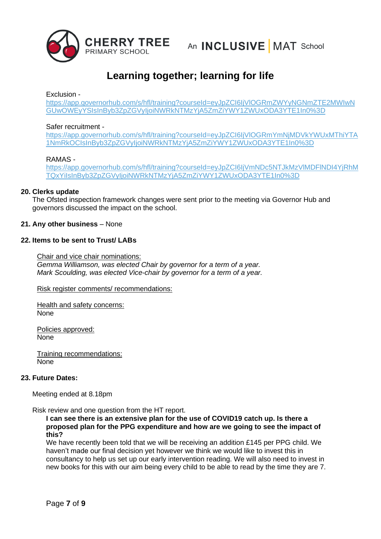

## Exclusion -

[https://app.governorhub.com/s/hfl/training?courseId=eyJpZCI6IjVlOGRmZWYyNGNmZTE2MWIwN](http://mail.governorhub.com/track/click/30059758/app.governorhub.com?p=eyJzIjoiWEozanFxLXRNZUJlcGZiSFVxcU1DRFM4aEd3IiwidiI6MSwicCI6IntcInVcIjozMDA1OTc1OCxcInZcIjoxLFwidXJsXCI6XCJodHRwczpcXFwvXFxcL2FwcC5nb3Zlcm5vcmh1Yi5jb21cXFwvc1xcXC9oZmxcXFwvdHJhaW5pbmc_Y291cnNlSWQ9ZXlKcFpDSTZJalZsT0dSbVpXWXlOR05tWlRFMk1XSXdOR1V3T1dFeVlTSXNJbkJ5YjNacFpHVnlJam9pTldSa05UTXpZakE1Wm1aaVlXWTFaV1V4T0RBM1lURTFJbjAlM0RcIixcImlkXCI6XCI0OTFhNDk0YzkzMDc0YjVjYmNmYzU3YTUyNjNlZmNmYVwiLFwidXJsX2lkc1wiOltcIjBhYzI5ZmEzOTc0NDZkODJiMzE2OTAxMjg3NTE1Zjg3NzVlYTZiYzVcIl19In0) [GUwOWEyYSIsInByb3ZpZGVyIjoiNWRkNTMzYjA5ZmZiYWY1ZWUxODA3YTE1In0%3D](http://mail.governorhub.com/track/click/30059758/app.governorhub.com?p=eyJzIjoiWEozanFxLXRNZUJlcGZiSFVxcU1DRFM4aEd3IiwidiI6MSwicCI6IntcInVcIjozMDA1OTc1OCxcInZcIjoxLFwidXJsXCI6XCJodHRwczpcXFwvXFxcL2FwcC5nb3Zlcm5vcmh1Yi5jb21cXFwvc1xcXC9oZmxcXFwvdHJhaW5pbmc_Y291cnNlSWQ9ZXlKcFpDSTZJalZsT0dSbVpXWXlOR05tWlRFMk1XSXdOR1V3T1dFeVlTSXNJbkJ5YjNacFpHVnlJam9pTldSa05UTXpZakE1Wm1aaVlXWTFaV1V4T0RBM1lURTFJbjAlM0RcIixcImlkXCI6XCI0OTFhNDk0YzkzMDc0YjVjYmNmYzU3YTUyNjNlZmNmYVwiLFwidXJsX2lkc1wiOltcIjBhYzI5ZmEzOTc0NDZkODJiMzE2OTAxMjg3NTE1Zjg3NzVlYTZiYzVcIl19In0)

### Safer recruitment -

[https://app.governorhub.com/s/hfl/training?courseId=eyJpZCI6IjVlOGRmYmNjMDVkYWUxMThiYTA](http://mail.governorhub.com/track/click/30059758/app.governorhub.com?p=eyJzIjoiMXVOWjlvMjY4d2ZvOWVqWGJJY2l5N0Y1LU44IiwidiI6MSwicCI6IntcInVcIjozMDA1OTc1OCxcInZcIjoxLFwidXJsXCI6XCJodHRwczpcXFwvXFxcL2FwcC5nb3Zlcm5vcmh1Yi5jb21cXFwvc1xcXC9oZmxcXFwvdHJhaW5pbmc_Y291cnNlSWQ9ZXlKcFpDSTZJalZsT0dSbVltTmpNRFZrWVdVeE1UaGlZVEExTm1Sa09DSXNJbkJ5YjNacFpHVnlJam9pTldSa05UTXpZakE1Wm1aaVlXWTFaV1V4T0RBM1lURTFJbjAlM0RcIixcImlkXCI6XCJlZmQwZmQwZTU1NzA0MmFhODVmYmU2NmQ4ZmE5ZjhhMVwiLFwidXJsX2lkc1wiOltcIjBhYzI5ZmEzOTc0NDZkODJiMzE2OTAxMjg3NTE1Zjg3NzVlYTZiYzVcIl19In0) [1NmRkOCIsInByb3ZpZGVyIjoiNWRkNTMzYjA5ZmZiYWY1ZWUxODA3YTE1In0%3D](http://mail.governorhub.com/track/click/30059758/app.governorhub.com?p=eyJzIjoiMXVOWjlvMjY4d2ZvOWVqWGJJY2l5N0Y1LU44IiwidiI6MSwicCI6IntcInVcIjozMDA1OTc1OCxcInZcIjoxLFwidXJsXCI6XCJodHRwczpcXFwvXFxcL2FwcC5nb3Zlcm5vcmh1Yi5jb21cXFwvc1xcXC9oZmxcXFwvdHJhaW5pbmc_Y291cnNlSWQ9ZXlKcFpDSTZJalZsT0dSbVltTmpNRFZrWVdVeE1UaGlZVEExTm1Sa09DSXNJbkJ5YjNacFpHVnlJam9pTldSa05UTXpZakE1Wm1aaVlXWTFaV1V4T0RBM1lURTFJbjAlM0RcIixcImlkXCI6XCJlZmQwZmQwZTU1NzA0MmFhODVmYmU2NmQ4ZmE5ZjhhMVwiLFwidXJsX2lkc1wiOltcIjBhYzI5ZmEzOTc0NDZkODJiMzE2OTAxMjg3NTE1Zjg3NzVlYTZiYzVcIl19In0)

### RAMAS -

[https://app.governorhub.com/s/hfl/training?courseId=eyJpZCI6IjVmNDc5NTJkMzVlMDFlNDI4YjRhM](http://mail.governorhub.com/track/click/30059758/app.governorhub.com?p=eyJzIjoiS3Fka0wzX2JNRXo4cFdXanhsYVh2bU9fblNrIiwidiI6MSwicCI6IntcInVcIjozMDA1OTc1OCxcInZcIjoxLFwidXJsXCI6XCJodHRwczpcXFwvXFxcL2FwcC5nb3Zlcm5vcmh1Yi5jb21cXFwvc1xcXC9oZmxcXFwvdHJhaW5pbmc_Y291cnNlSWQ9ZXlKcFpDSTZJalZtTkRjNU5USmtNelZsTURGbE5ESTRZalJoTVRReFlpSXNJbkJ5YjNacFpHVnlJam9pTldSa05UTXpZakE1Wm1aaVlXWTFaV1V4T0RBM1lURTFJbjAlM0RcIixcImlkXCI6XCJlZmQwZmQwZTU1NzA0MmFhODVmYmU2NmQ4ZmE5ZjhhMVwiLFwidXJsX2lkc1wiOltcIjBhYzI5ZmEzOTc0NDZkODJiMzE2OTAxMjg3NTE1Zjg3NzVlYTZiYzVcIl19In0) [TQxYiIsInByb3ZpZGVyIjoiNWRkNTMzYjA5ZmZiYWY1ZWUxODA3YTE1In0%3D](http://mail.governorhub.com/track/click/30059758/app.governorhub.com?p=eyJzIjoiS3Fka0wzX2JNRXo4cFdXanhsYVh2bU9fblNrIiwidiI6MSwicCI6IntcInVcIjozMDA1OTc1OCxcInZcIjoxLFwidXJsXCI6XCJodHRwczpcXFwvXFxcL2FwcC5nb3Zlcm5vcmh1Yi5jb21cXFwvc1xcXC9oZmxcXFwvdHJhaW5pbmc_Y291cnNlSWQ9ZXlKcFpDSTZJalZtTkRjNU5USmtNelZsTURGbE5ESTRZalJoTVRReFlpSXNJbkJ5YjNacFpHVnlJam9pTldSa05UTXpZakE1Wm1aaVlXWTFaV1V4T0RBM1lURTFJbjAlM0RcIixcImlkXCI6XCJlZmQwZmQwZTU1NzA0MmFhODVmYmU2NmQ4ZmE5ZjhhMVwiLFwidXJsX2lkc1wiOltcIjBhYzI5ZmEzOTc0NDZkODJiMzE2OTAxMjg3NTE1Zjg3NzVlYTZiYzVcIl19In0)

### **20. Clerks update**

The Ofsted inspection framework changes were sent prior to the meeting via Governor Hub and governors discussed the impact on the school.

### **21. Any other business** – None

## **22. Items to be sent to Trust/ LABs**

Chair and vice chair nominations: *Gemma Williamson, was elected Chair by governor for a term of a year. Mark Scoulding, was elected Vice-chair by governor for a term of a year.* 

Risk register comments/ recommendations:

Health and safety concerns: None

Policies approved: None

Training recommendations: None

### **23. Future Dates:**

Meeting ended at 8.18pm

Risk review and one question from the HT report.

**I can see there is an extensive plan for the use of COVID19 catch up. Is there a proposed plan for the PPG expenditure and how are we going to see the impact of this?**

We have recently been told that we will be receiving an addition £145 per PPG child. We haven't made our final decision yet however we think we would like to invest this in consultancy to help us set up our early intervention reading. We will also need to invest in new books for this with our aim being every child to be able to read by the time they are 7.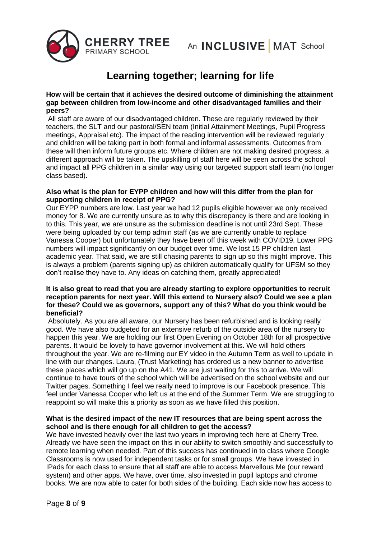

### **How will be certain that it achieves the desired outcome of diminishing the attainment gap between children from low-income and other disadvantaged families and their peers?**

All staff are aware of our disadvantaged children. These are regularly reviewed by their teachers, the SLT and our pastoral/SEN team (Initial Attainment Meetings, Pupil Progress meetings, Appraisal etc). The impact of the reading intervention will be reviewed regularly and children will be taking part in both formal and informal assessments. Outcomes from these will then inform future groups etc. Where children are not making desired progress, a different approach will be taken. The upskilling of staff here will be seen across the school and impact all PPG children in a similar way using our targeted support staff team (no longer class based).

### **Also what is the plan for EYPP children and how will this differ from the plan for supporting children in receipt of PPG?**

Our EYPP numbers are low. Last year we had 12 pupils eligible however we only received money for 8. We are currently unsure as to why this discrepancy is there and are looking in to this. This year, we are unsure as the submission deadline is not until 23rd Sept. These were being uploaded by our temp admin staff (as we are currently unable to replace Vanessa Cooper) but unfortunately they have been off this week with COVID19. Lower PPG numbers will impact significantly on our budget over time. We lost 15 PP children last academic year. That said, we are still chasing parents to sign up so this might improve. This is always a problem (parents signing up) as children automatically qualify for UFSM so they don't realise they have to. Any ideas on catching them, greatly appreciated!

### **It is also great to read that you are already starting to explore opportunities to recruit reception parents for next year. Will this extend to Nursery also? Could we see a plan for these? Could we as governors, support any of this? What do you think would be beneficial?**

Absolutely. As you are all aware, our Nursery has been refurbished and is looking really good. We have also budgeted for an extensive refurb of the outside area of the nursery to happen this year. We are holding our first Open Evening on October 18th for all prospective parents. It would be lovely to have governor involvement at this. We will hold others throughout the year. We are re-filming our EY video in the Autumn Term as well to update in line with our changes. Laura, (Trust Marketing) has ordered us a new banner to advertise these places which will go up on the A41. We are just waiting for this to arrive. We will continue to have tours of the school which will be advertised on the school website and our Twitter pages. Something I feel we really need to improve is our Facebook presence. This feel under Vanessa Cooper who left us at the end of the Summer Term. We are struggling to reappoint so will make this a priority as soon as we have filled this position.

## **What is the desired impact of the new IT resources that are being spent across the school and is there enough for all children to get the access?**

We have invested heavily over the last two years in improving tech here at Cherry Tree. Already we have seen the impact on this in our ability to switch smoothly and successfully to remote learning when needed. Part of this success has continued in to class where Google Classrooms is now used for independent tasks or for small groups. We have invested in IPads for each class to ensure that all staff are able to access Marvellous Me (our reward system) and other apps. We have, over time, also invested in pupil laptops and chrome books. We are now able to cater for both sides of the building. Each side now has access to